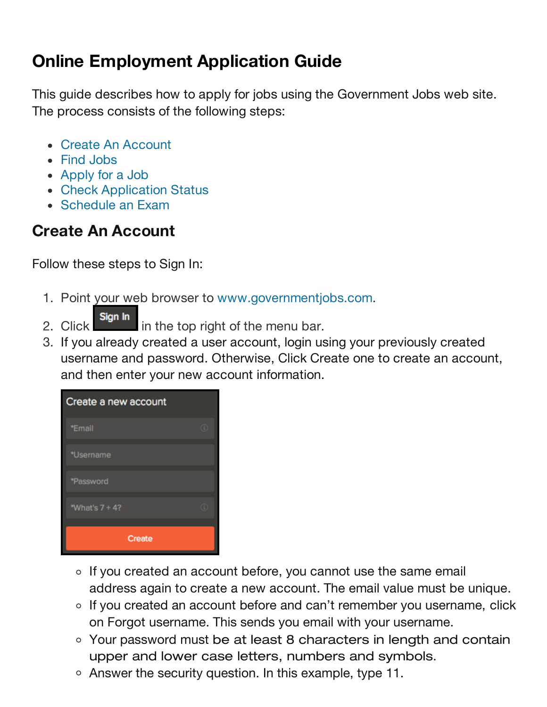# **Online Employment Application Guide**

This guide describes how to apply for jobs using the Government Jobs web site. The process consists of the following steps:

- Create An Account
- Find Jobs
- Apply for a Job
- Check Application Status
- Schedule an Exam

# **Create An Account**

Follow these steps to Sign In:

- 1. Point your web browser to www.governmentjobs.com.
	-
- 2. Click sign in in the top right of the menu bar.
- 3. If you already created a user account, login using your previously created username and password. Otherwise, Click Create one to create an account, and then enter your new account information.



- o If you created an account before, you cannot use the same email address again to create a new account. The email value must be unique.
- If you created an account before and can't remember you username, click on Forgot username. This sends you email with your username.
- Your password must be at least 8 characters in length and contain upper and lower case letters, numbers and symbols.
- Answer the security question. In this example, type 11.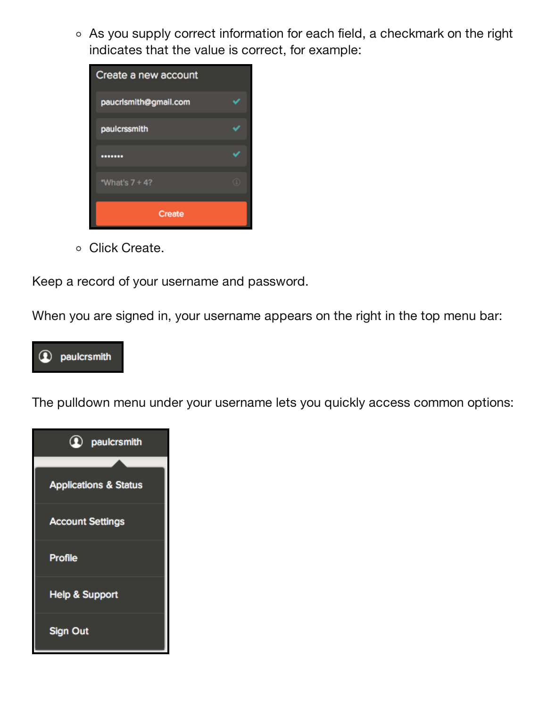As you supply correct information for each field, a checkmark on the right indicates that the value is correct, for example:



o Click Create.

Keep a record of your username and password.

When you are signed in, your username appears on the right in the top menu bar:



The pulldown menu under your username lets you quickly access common options:

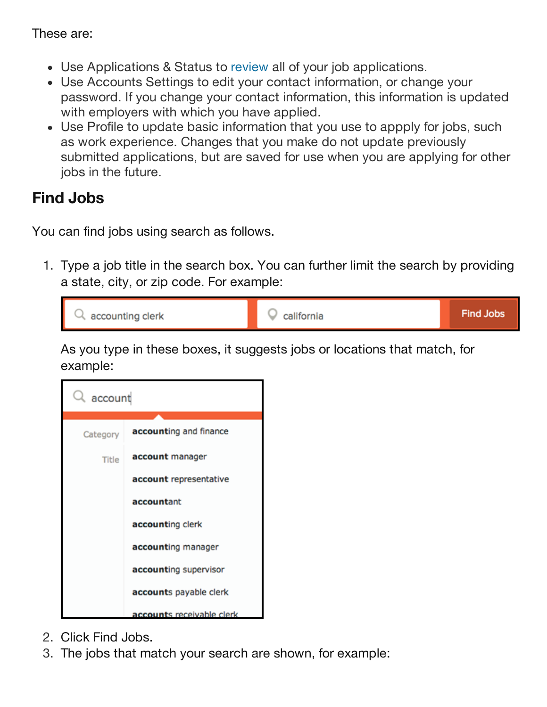These are:

- Use Applications & Status to review all of your job applications.
- Use Accounts Settings to edit your contact information, or change your password. If you change your contact information, this information is updated with employers with which you have applied.
- Use Profile to update basic information that you use to appply for jobs, such as work experience. Changes that you make do not update previously submitted applications, but are saved for use when you are applying for other jobs in the future.

#### **Find Jobs**

You can find jobs using search as follows.

1. Type a job title in the search box. You can further limit the search by providing a state, city, or zip code. For example:



As you type in these boxes, it suggests jobs or locations that match, for example:



- 2. Click Find Jobs.
- 3. The jobs that match your search are shown, for example: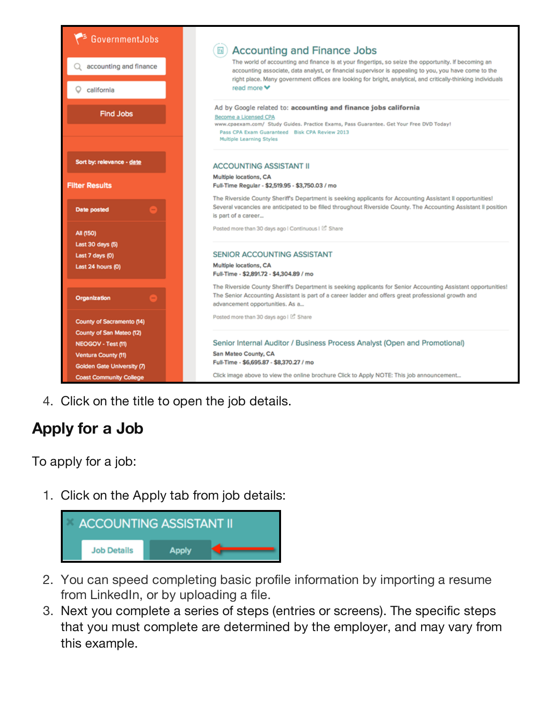

4. Click on the title to open the job details.

### **Apply for a Job**

To apply for a job:

1. Click on the Apply tab from job details:



- 2. You can speed completing basic profile information by importing a resume from LinkedIn, or by uploading a file.
- 3. Next you complete a series of steps (entries or screens). The specific steps that you must complete are determined by the employer, and may vary from this example.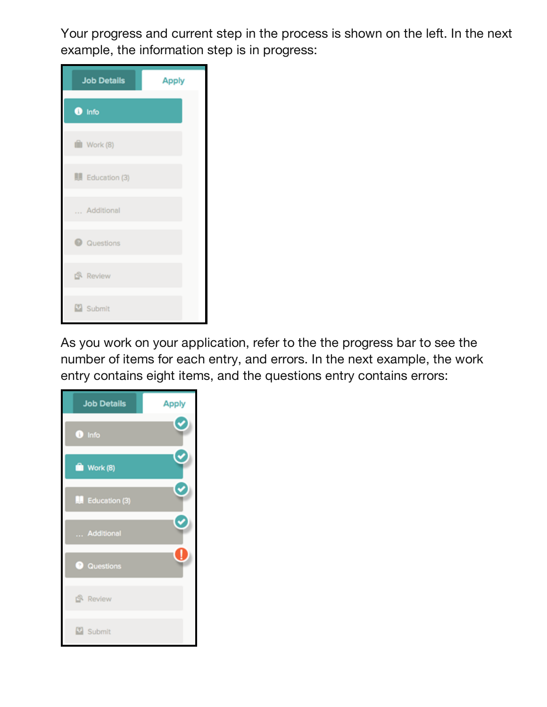Your progress and current step in the process is shown on the left. In the next example, the information step is in progress:



As you work on your application, refer to the the progress bar to see the number of items for each entry, and errors. In the next example, the work entry contains eight items, and the questions entry contains errors:

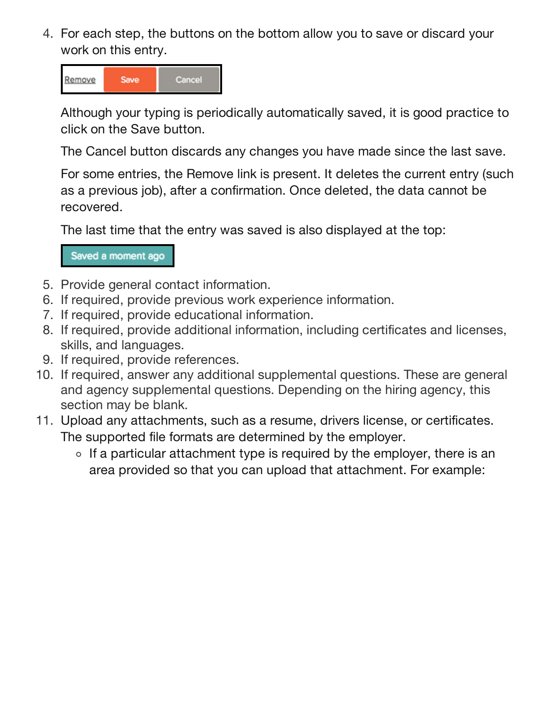4. For each step, the buttons on the bottom allow you to save or discard your work on this entry.



Although your typing is periodically automatically saved, it is good practice to click on the Save button.

The Cancel button discards any changes you have made since the last save.

For some entries, the Remove link is present. It deletes the current entry (such as a previous job), after a confirmation. Once deleted, the data cannot be recovered.

The last time that the entry was saved is also displayed at the top:

Saved a moment ago

- 5. Provide general contact information.
- 6. If required, provide previous work experience information.
- 7. If required, provide educational information.
- 8. If required, provide additional information, including certificates and licenses, skills, and languages.
- 9. If required, provide references.
- 10. If required, answer any additional supplemental questions. These are general and agency supplemental questions. Depending on the hiring agency, this section may be blank.
- 11. Upload any attachments, such as a resume, drivers license, or certificates. The supported file formats are determined by the employer.
	- $\circ$  If a particular attachment type is required by the employer, there is an area provided so that you can upload that attachment. For example: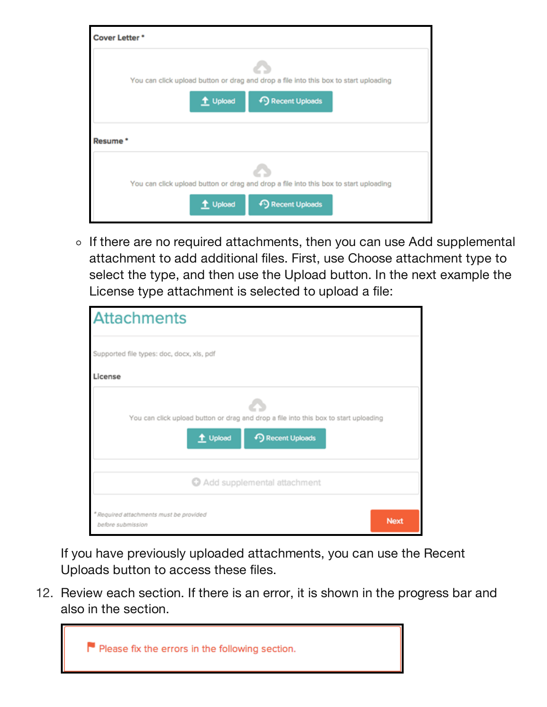| Cover Letter * |                                                                                                                       |
|----------------|-----------------------------------------------------------------------------------------------------------------------|
|                | You can click upload button or drag and drop a file into this box to start uploading<br>+9 Recent Uploads<br>t Upload |
| Resume *       |                                                                                                                       |
|                | You can click upload button or drag and drop a file into this box to start uploading<br>t Upload<br>+9 Recent Uploads |

 $\circ$  If there are no required attachments, then you can use Add supplemental attachment to add additional files. First, use Choose attachment type to select the type, and then use the Upload button. In the next example the License type attachment is selected to upload a file:

| <b>Attachments</b>                                                                                                    |             |  |  |  |
|-----------------------------------------------------------------------------------------------------------------------|-------------|--|--|--|
| Supported file types: doc, docx, xls, pdf                                                                             |             |  |  |  |
| License                                                                                                               |             |  |  |  |
| You can click upload button or drag and drop a file into this box to start uploading<br>t Upload<br>+9 Recent Uploads |             |  |  |  |
| Add supplemental attachment                                                                                           |             |  |  |  |
| * Required attachments must be provided<br>before submission                                                          | <b>Next</b> |  |  |  |

If you have previously uploaded attachments, you can use the Recent Uploads button to access these files.

12. Review each section. If there is an error, it is shown in the progress bar and also in the section.

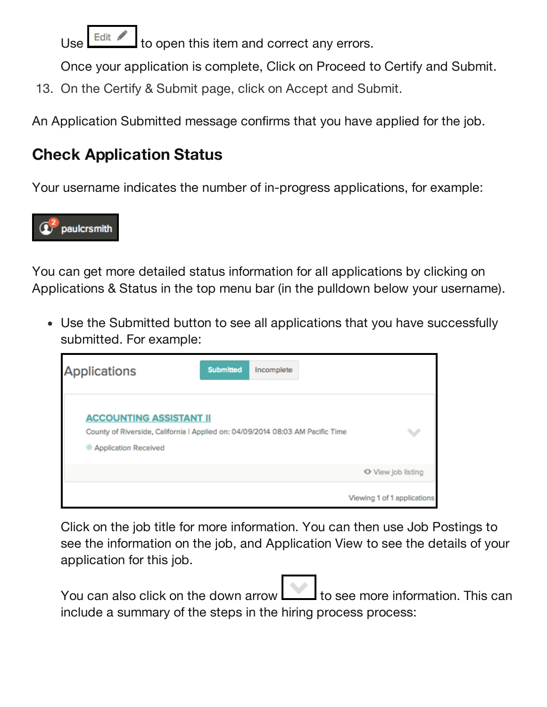Use  $\mathsf{L}^{\text{Edit}}$  to open this item and correct any errors.

Once your application is complete, Click on Proceed to Certify and Submit.

13. On the Certify & Submit page, click on Accept and Submit.

An Application Submitted message confirms that you have applied for the job.

# **Check Application Status**

Your username indicates the number of in-progress applications, for example:



You can get more detailed status information for all applications by clicking on Applications & Status in the top menu bar (in the pulldown below your username).

Use the Submitted button to see all applications that you have successfully submitted. For example:

| <b>Applications</b>                                                                                                                               | <b>Submitted</b> | Incomplete |                             |
|---------------------------------------------------------------------------------------------------------------------------------------------------|------------------|------------|-----------------------------|
| <b>ACCOUNTING ASSISTANT II</b><br>County of Riverside, California   Applied on: 04/09/2014 08:03 AM Pacific Time<br><b>M</b> Application Received |                  |            | w                           |
|                                                                                                                                                   |                  |            | O View job listing          |
|                                                                                                                                                   |                  |            | Viewing 1 of 1 applications |

Click on the job title for more information. You can then use Job Postings to see the information on the job, and Application View to see the details of your application for this job.

You can also click on the down arrow  $\Box$  to see more information. This can include a summary of the steps in the hiring process process: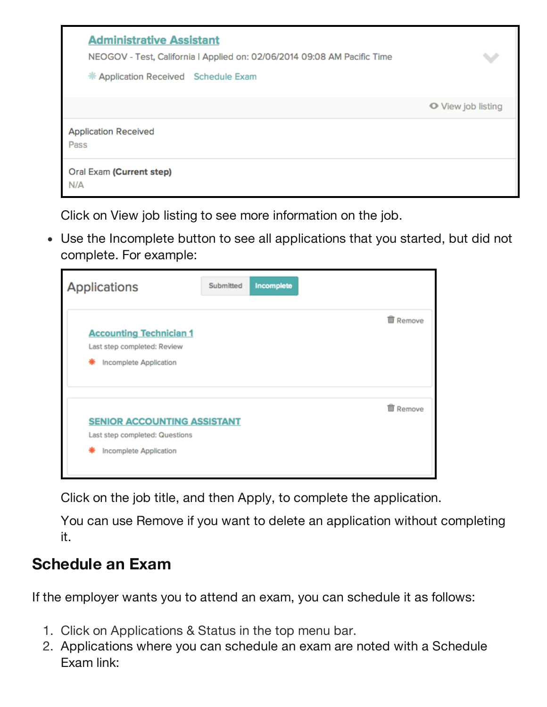| <b>Administrative Assistant</b><br>NEOGOV - Test, California   Applied on: 02/06/2014 09:08 AM Pacific Time<br>* Application Received Schedule Exam | $\checkmark$       |
|-----------------------------------------------------------------------------------------------------------------------------------------------------|--------------------|
|                                                                                                                                                     | O View job listing |
| <b>Application Received</b><br>Pass                                                                                                                 |                    |
| Oral Exam (Current step)<br>N/A                                                                                                                     |                    |

Click on View job listing to see more information on the job.

Use the Incomplete button to see all applications that you started, but did not complete. For example:

| <b>Applications</b>                                                                            | Submitted | Incomplete |                 |
|------------------------------------------------------------------------------------------------|-----------|------------|-----------------|
| <b>Accounting Technician 1</b><br>Last step completed: Review<br>Incomplete Application        |           |            | <b>面 Remove</b> |
| <b>SENIOR ACCOUNTING ASSISTANT</b><br>Last step completed: Questions<br>Incomplete Application |           |            | <b>前 Remove</b> |

Click on the job title, and then Apply, to complete the application.

You can use Remove if you want to delete an application without completing it.

#### **Schedule an Exam**

If the employer wants you to attend an exam, you can schedule it as follows:

- 1. Click on Applications & Status in the top menu bar.
- 2. Applications where you can schedule an exam are noted with a Schedule Exam link: